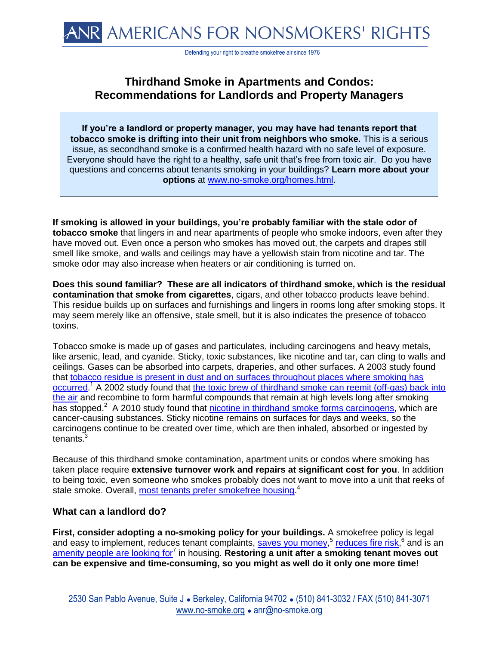Defending your right to breathe smokefree air since 1976

## **Thirdhand Smoke in Apartments and Condos: Recommendations for Landlords and Property Managers**

**If you're a landlord or property manager, you may have had tenants report that tobacco smoke is drifting into their unit from neighbors who smoke.** This is a serious issue, as secondhand smoke is a confirmed health hazard with no safe level of exposure. Everyone should have the right to a healthy, safe unit that's free from toxic air. Do you have questions and concerns about tenants smoking in your buildings? **Learn more about your options** at [www.no-smoke.org/homes.html.](http://www.no-smoke.org/homes.html)

**If smoking is allowed in your buildings, you're probably familiar with the stale odor of tobacco smoke** that lingers in and near apartments of people who smoke indoors, even after they have moved out. Even once a person who smokes has moved out, the carpets and drapes still smell like smoke, and walls and ceilings may have a yellowish stain from nicotine and tar. The smoke odor may also increase when heaters or air conditioning is turned on.

**Does this sound familiar? These are all indicators of thirdhand smoke, which is the residual contamination that smoke from cigarettes**, cigars, and other tobacco products leave behind. This residue builds up on surfaces and furnishings and lingers in rooms long after smoking stops. It may seem merely like an offensive, stale smell, but it is also indicates the presence of tobacco toxins.

Tobacco smoke is made up of gases and particulates, including carcinogens and heavy metals, like arsenic, lead, and cyanide. Sticky, toxic substances, like nicotine and tar, can cling to walls and ceilings. Gases can be absorbed into carpets, draperies, and other surfaces. A 2003 study found that [tobacco residue is present in dust and on surfaces throughout places where smoking has](http://tobaccocontrol.bmj.com/content/13/1/29.abstract?maxtoshow=&HITS=10&hits=10&RESULTFORMAT=1&author1=Quintana&andorexacttitle=and&andorexacttitleabs=and&andorexactfulltext=and&searchid=1086821237049_1361&stored_search=&FIRSTINDEX=0&sortspec=relevance&r)  [occurred.](http://tobaccocontrol.bmj.com/content/13/1/29.abstract?maxtoshow=&HITS=10&hits=10&RESULTFORMAT=1&author1=Quintana&andorexacttitle=and&andorexacttitleabs=and&andorexactfulltext=and&searchid=1086821237049_1361&stored_search=&FIRSTINDEX=0&sortspec=relevance&r)<sup>1</sup> A 2002 study found that the toxic brew [of thirdhand smoke](http://eetdpubs.lbl.gov/publications/53/effect-sorption-exposures-organic-gases-environmental-tobacco-smoke-ets) can reemit (off-gas) back into [the air](http://eetdpubs.lbl.gov/publications/53/effect-sorption-exposures-organic-gases-environmental-tobacco-smoke-ets) and recombine to form harmful compounds that remain at high levels long after smoking has stopped.<sup>2</sup> A 2010 study found that [nicotine in thirdhand smoke forms carcinogens,](http://www.pnas.org/content/early/2010/02/04/0912820107.full.pdf+html?sid=a9fa8602-2b11-433d-a6cd-173e01d3e409) which are cancer-causing substances. Sticky nicotine remains on surfaces for days and weeks, so the carcinogens continue to be created over time, which are then inhaled, absorbed or ingested by tenants.<sup>3</sup>

Because of this thirdhand smoke contamination, apartment units or condos where smoking has taken place require **extensive turnover work and repairs at significant cost for you**. In addition to being toxic, even someone who smokes probably does not want to move into a unit that reeks of stale smoke. Overall, [most tenants prefer smokefree housing.](http://www.nchh.org/Portals/0/Contents/Green%20Factsheet_Smokefree.pdf)<sup>4</sup>

## **What can a landlord do?**

**First, consider adopting a no-smoking policy for your buildings.** A smokefree policy is legal and easy to implement, reduces tenant complaints, [saves you money,](http://www.mismokefreeapartment.org/l10save.html)<sup>5</sup> [reduces fire risk,](http://www.smokefreeforme.org/landlord.php?page=Fire+Hazards)<sup>6</sup> and is an [amenity people are looking for](http://www.mismokefreeapartment.org/l11tenant.html)<sup>7</sup> in housing. Restoring a unit after a smoking tenant moves out **can be expensive and time-consuming, so you might as well do it only one more time!**